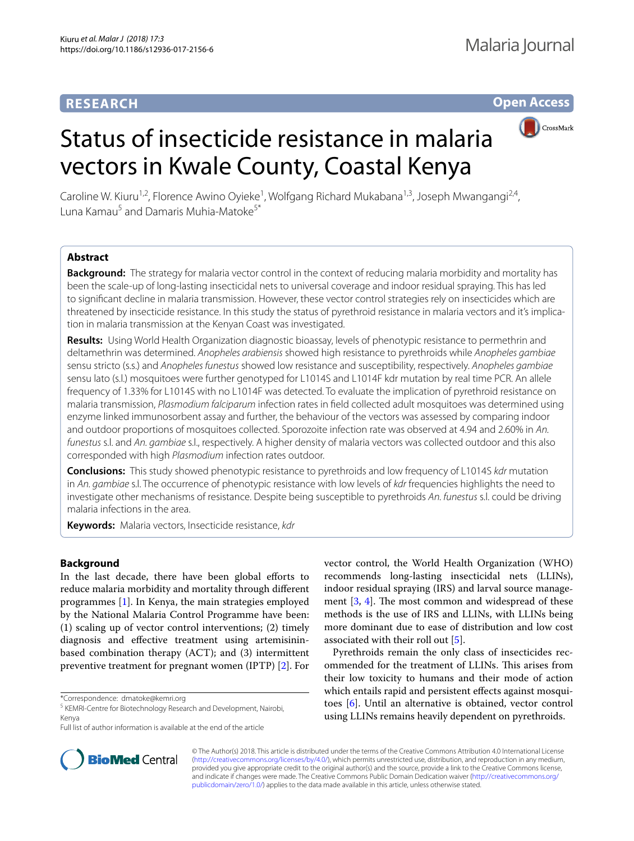## **RESEARCH**

**Open Access**



# Status of insecticide resistance in malaria vectors in Kwale County, Coastal Kenya

Caroline W. Kiuru<sup>1,2</sup>, Florence Awino Oyieke<sup>1</sup>, Wolfgang Richard Mukabana<sup>1,3</sup>, Joseph Mwangangi<sup>2,4</sup>, Luna Kamau<sup>5</sup> and Damaris Muhia-Matoke<sup>5\*</sup>

## **Abstract**

**Background:** The strategy for malaria vector control in the context of reducing malaria morbidity and mortality has been the scale-up of long-lasting insecticidal nets to universal coverage and indoor residual spraying. This has led to signifcant decline in malaria transmission. However, these vector control strategies rely on insecticides which are threatened by insecticide resistance. In this study the status of pyrethroid resistance in malaria vectors and it's implica‑ tion in malaria transmission at the Kenyan Coast was investigated.

**Results:** Using World Health Organization diagnostic bioassay, levels of phenotypic resistance to permethrin and deltamethrin was determined. *Anopheles arabiensis* showed high resistance to pyrethroids while *Anopheles gambiae* sensu stricto (s.s.) and *Anopheles funestus* showed low resistance and susceptibility, respectively. *Anopheles gambiae* sensu lato (s.l.) mosquitoes were further genotyped for L1014S and L1014F kdr mutation by real time PCR. An allele frequency of 1.33% for L1014S with no L1014F was detected. To evaluate the implication of pyrethroid resistance on malaria transmission, *Plasmodium falciparum* infection rates in feld collected adult mosquitoes was determined using enzyme linked immunosorbent assay and further, the behaviour of the vectors was assessed by comparing indoor and outdoor proportions of mosquitoes collected. Sporozoite infection rate was observed at 4.94 and 2.60% in *An. funestus* s.l. and *An. gambiae* s.l., respectively. A higher density of malaria vectors was collected outdoor and this also corresponded with high *Plasmodium* infection rates outdoor.

**Conclusions:** This study showed phenotypic resistance to pyrethroids and low frequency of L1014S *kdr* mutation in *An. gambiae* s.l. The occurrence of phenotypic resistance with low levels of *kdr* frequencies highlights the need to investigate other mechanisms of resistance. Despite being susceptible to pyrethroids *An. funestus* s.l. could be driving malaria infections in the area.

**Keywords:** Malaria vectors, Insecticide resistance, *kdr*

## **Background**

In the last decade, there have been global efforts to reduce malaria morbidity and mortality through diferent programmes [[1](#page-7-0)]. In Kenya, the main strategies employed by the National Malaria Control Programme have been: (1) scaling up of vector control interventions; (2) timely diagnosis and efective treatment using artemisininbased combination therapy (ACT); and (3) intermittent preventive treatment for pregnant women (IPTP) [\[2\]](#page-7-1). For

\*Correspondence: dmatoke@kemri.org



Pyrethroids remain the only class of insecticides recommended for the treatment of LLINs. This arises from their low toxicity to humans and their mode of action which entails rapid and persistent effects against mosquitoes [\[6](#page-7-5)]. Until an alternative is obtained, vector control using LLINs remains heavily dependent on pyrethroids.



© The Author(s) 2018. This article is distributed under the terms of the Creative Commons Attribution 4.0 International License [\(http://creativecommons.org/licenses/by/4.0/\)](http://creativecommons.org/licenses/by/4.0/), which permits unrestricted use, distribution, and reproduction in any medium, provided you give appropriate credit to the original author(s) and the source, provide a link to the Creative Commons license, and indicate if changes were made. The Creative Commons Public Domain Dedication waiver ([http://creativecommons.org/](http://creativecommons.org/publicdomain/zero/1.0/) [publicdomain/zero/1.0/](http://creativecommons.org/publicdomain/zero/1.0/)) applies to the data made available in this article, unless otherwise stated.

<sup>&</sup>lt;sup>5</sup> KEMRI-Centre for Biotechnology Research and Development, Nairobi, Kenya

Full list of author information is available at the end of the article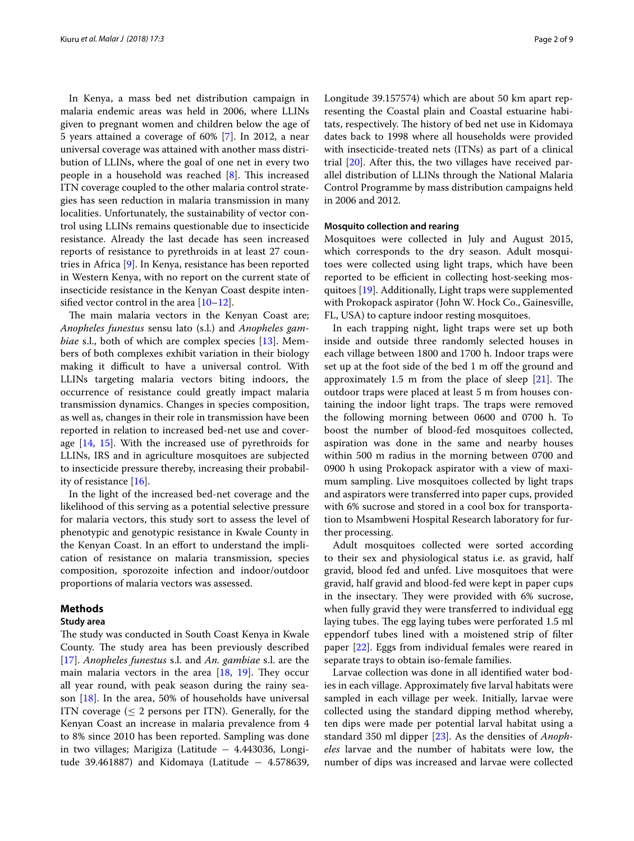In Kenya, a mass bed net distribution campaign in malaria endemic areas was held in 2006, where LLINs given to pregnant women and children below the age of 5 years attained a coverage of 60% [\[7](#page-7-6)]. In 2012, a near universal coverage was attained with another mass distribution of LLINs, where the goal of one net in every two people in a household was reached  $[8]$  $[8]$ . This increased ITN coverage coupled to the other malaria control strategies has seen reduction in malaria transmission in many localities. Unfortunately, the sustainability of vector control using LLINs remains questionable due to insecticide resistance. Already the last decade has seen increased reports of resistance to pyrethroids in at least 27 countries in Africa [[9\]](#page-7-8). In Kenya, resistance has been reported in Western Kenya, with no report on the current state of insecticide resistance in the Kenyan Coast despite intensifed vector control in the area [[10–](#page-7-9)[12\]](#page-7-10).

The main malaria vectors in the Kenyan Coast are; *Anopheles funestus* sensu lato (s.l.) and *Anopheles gambiae* s.l., both of which are complex species [\[13](#page-7-11)]. Members of both complexes exhibit variation in their biology making it difficult to have a universal control. With LLINs targeting malaria vectors biting indoors, the occurrence of resistance could greatly impact malaria transmission dynamics. Changes in species composition, as well as, changes in their role in transmission have been reported in relation to increased bed-net use and coverage [\[14](#page-7-12), [15](#page-7-13)]. With the increased use of pyrethroids for LLINs, IRS and in agriculture mosquitoes are subjected to insecticide pressure thereby, increasing their probability of resistance [[16\]](#page-7-14).

In the light of the increased bed-net coverage and the likelihood of this serving as a potential selective pressure for malaria vectors, this study sort to assess the level of phenotypic and genotypic resistance in Kwale County in the Kenyan Coast. In an effort to understand the implication of resistance on malaria transmission, species composition, sporozoite infection and indoor/outdoor proportions of malaria vectors was assessed.

## **Methods**

#### **Study area**

The study was conducted in South Coast Kenya in Kwale County. The study area has been previously described [[17\]](#page-7-15). *Anopheles funestus* s.l. and *An. gambiae* s.l. are the main malaria vectors in the area  $[18, 19]$  $[18, 19]$  $[18, 19]$ . They occur all year round, with peak season during the rainy season [[18\]](#page-7-16). In the area, 50% of households have universal ITN coverage ( $\leq$  2 persons per ITN). Generally, for the Kenyan Coast an increase in malaria prevalence from 4 to 8% since 2010 has been reported. Sampling was done in two villages; Marigiza (Latitude − 4.443036, Longitude 39.461887) and Kidomaya (Latitude − 4.578639, Longitude 39.157574) which are about 50 km apart representing the Coastal plain and Coastal estuarine habitats, respectively. The history of bed net use in Kidomaya dates back to 1998 where all households were provided with insecticide-treated nets (ITNs) as part of a clinical trial [\[20](#page-7-18)]. After this, the two villages have received parallel distribution of LLINs through the National Malaria Control Programme by mass distribution campaigns held in 2006 and 2012.

#### **Mosquito collection and rearing**

Mosquitoes were collected in July and August 2015, which corresponds to the dry season. Adult mosquitoes were collected using light traps, which have been reported to be efficient in collecting host-seeking mosquitoes [\[19\]](#page-7-17). Additionally, Light traps were supplemented with Prokopack aspirator (John W. Hock Co., Gainesville, FL, USA) to capture indoor resting mosquitoes.

In each trapping night, light traps were set up both inside and outside three randomly selected houses in each village between 1800 and 1700 h. Indoor traps were set up at the foot side of the bed 1 m off the ground and approximately 1.5 m from the place of sleep  $[21]$  $[21]$  $[21]$ . The outdoor traps were placed at least 5 m from houses containing the indoor light traps. The traps were removed the following morning between 0600 and 0700 h. To boost the number of blood-fed mosquitoes collected, aspiration was done in the same and nearby houses within 500 m radius in the morning between 0700 and 0900 h using Prokopack aspirator with a view of maximum sampling. Live mosquitoes collected by light traps and aspirators were transferred into paper cups, provided with 6% sucrose and stored in a cool box for transportation to Msambweni Hospital Research laboratory for further processing.

Adult mosquitoes collected were sorted according to their sex and physiological status i.e. as gravid, half gravid, blood fed and unfed. Live mosquitoes that were gravid, half gravid and blood-fed were kept in paper cups in the insectary. They were provided with 6% sucrose, when fully gravid they were transferred to individual egg laying tubes. The egg laying tubes were perforated 1.5 ml eppendorf tubes lined with a moistened strip of flter paper [[22](#page-7-20)]. Eggs from individual females were reared in separate trays to obtain iso-female families.

Larvae collection was done in all identifed water bodies in each village. Approximately fve larval habitats were sampled in each village per week. Initially, larvae were collected using the standard dipping method whereby, ten dips were made per potential larval habitat using a standard 350 ml dipper [[23\]](#page-7-21). As the densities of *Anopheles* larvae and the number of habitats were low, the number of dips was increased and larvae were collected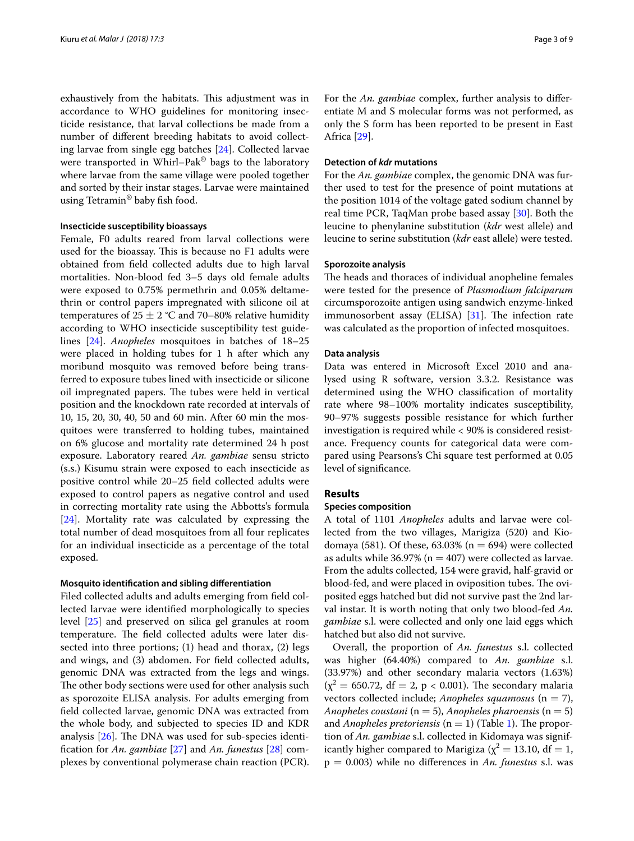exhaustively from the habitats. This adjustment was in accordance to WHO guidelines for monitoring insecticide resistance, that larval collections be made from a number of diferent breeding habitats to avoid collecting larvae from single egg batches [\[24\]](#page-7-22). Collected larvae were transported in Whirl–Pak® bags to the laboratory where larvae from the same village were pooled together and sorted by their instar stages. Larvae were maintained using Tetramin® baby fsh food.

#### **Insecticide susceptibility bioassays**

Female, F0 adults reared from larval collections were used for the bioassay. This is because no F1 adults were obtained from feld collected adults due to high larval mortalities. Non-blood fed 3–5 days old female adults were exposed to 0.75% permethrin and 0.05% deltamethrin or control papers impregnated with silicone oil at temperatures of  $25 \pm 2$  °C and 70–80% relative humidity according to WHO insecticide susceptibility test guidelines [[24\]](#page-7-22). *Anopheles* mosquitoes in batches of 18–25 were placed in holding tubes for 1 h after which any moribund mosquito was removed before being transferred to exposure tubes lined with insecticide or silicone oil impregnated papers. The tubes were held in vertical position and the knockdown rate recorded at intervals of 10, 15, 20, 30, 40, 50 and 60 min. After 60 min the mosquitoes were transferred to holding tubes, maintained on 6% glucose and mortality rate determined 24 h post exposure. Laboratory reared *An. gambiae* sensu stricto (s.s.) Kisumu strain were exposed to each insecticide as positive control while 20–25 feld collected adults were exposed to control papers as negative control and used in correcting mortality rate using the Abbotts's formula [[24\]](#page-7-22). Mortality rate was calculated by expressing the total number of dead mosquitoes from all four replicates for an individual insecticide as a percentage of the total exposed.

#### **Mosquito identifcation and sibling diferentiation**

Filed collected adults and adults emerging from feld collected larvae were identifed morphologically to species level [[25](#page-7-23)] and preserved on silica gel granules at room temperature. The field collected adults were later dissected into three portions; (1) head and thorax, (2) legs and wings, and (3) abdomen. For feld collected adults, genomic DNA was extracted from the legs and wings. The other body sections were used for other analysis such as sporozoite ELISA analysis. For adults emerging from feld collected larvae, genomic DNA was extracted from the whole body, and subjected to species ID and KDR analysis  $[26]$  $[26]$ . The DNA was used for sub-species identifcation for *An. gambiae* [[27\]](#page-7-25) and *An. funestus* [\[28](#page-7-26)] complexes by conventional polymerase chain reaction (PCR). For the *An. gambiae* complex, further analysis to diferentiate M and S molecular forms was not performed, as only the S form has been reported to be present in East Africa [[29](#page-7-27)].

## **Detection of** *kdr* **mutations**

For the *An. gambiae* complex, the genomic DNA was further used to test for the presence of point mutations at the position 1014 of the voltage gated sodium channel by real time PCR, TaqMan probe based assay [[30\]](#page-7-28). Both the leucine to phenylanine substitution (*kdr* west allele) and leucine to serine substitution (*kdr* east allele) were tested.

## **Sporozoite analysis**

The heads and thoraces of individual anopheline females were tested for the presence of *Plasmodium falciparum* circumsporozoite antigen using sandwich enzyme-linked immunosorbent assay (ELISA)  $[31]$  $[31]$ . The infection rate was calculated as the proportion of infected mosquitoes.

#### **Data analysis**

Data was entered in Microsoft Excel 2010 and analysed using R software, version 3.3.2. Resistance was determined using the WHO classifcation of mortality rate where 98–100% mortality indicates susceptibility, 90–97% suggests possible resistance for which further investigation is required while < 90% is considered resistance. Frequency counts for categorical data were compared using Pearsons's Chi square test performed at 0.05 level of signifcance.

## **Results**

#### **Species composition**

A total of 1101 *Anopheles* adults and larvae were collected from the two villages, Marigiza (520) and Kiodomaya (581). Of these, 63.03% ( $n = 694$ ) were collected as adults while  $36.97\%$  (n = 407) were collected as larvae. From the adults collected, 154 were gravid, half-gravid or blood-fed, and were placed in oviposition tubes. The oviposited eggs hatched but did not survive past the 2nd larval instar. It is worth noting that only two blood-fed *An. gambiae* s.l. were collected and only one laid eggs which hatched but also did not survive.

Overall, the proportion of *An. funestus* s.l. collected was higher (64.40%) compared to *An. gambiae* s.l. (33.97%) and other secondary malaria vectors (1.63%)  $(x^{2} = 650.72, df = 2, p < 0.001)$ . The secondary malaria vectors collected include; *Anopheles squamosus* (n = 7), *Anopheles coustani* (n = 5), *Anopheles pharoensis* (n = 5) and *Anopheles pretoriensis* ( $n = 1$ ) (Table [1\)](#page-3-0). The proportion of *An. gambiae* s.l. collected in Kidomaya was significantly higher compared to Marigiza ( $\chi^2 = 13.10$ , df = 1, p = 0.003) while no diferences in *An. funestus* s.l. was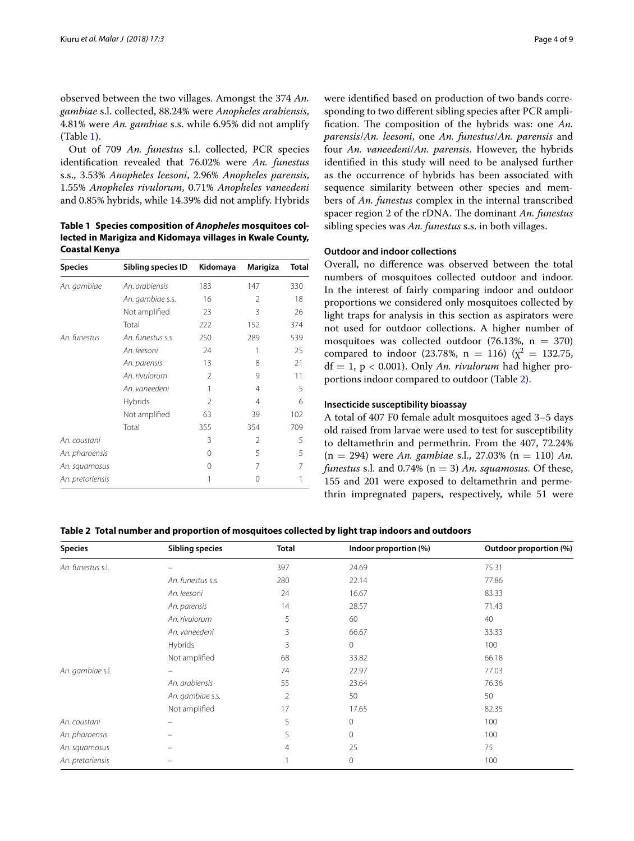observed between the two villages. Amongst the 374 *An. gambiae* s.l. collected, 88.24% were *Anopheles arabiensis*, 4.81% were *An. gambiae* s.s. while 6.95% did not amplify (Table [1](#page-3-0)).

Out of 709 *An. funestus* s.l. collected, PCR species identifcation revealed that 76.02% were *An. funestus* s.s., 3.53% *Anopheles leesoni*, 2.96% *Anopheles parensis*, 1.55% *Anopheles rivulorum*, 0.71% *Anopheles vaneedeni* and 0.85% hybrids, while 14.39% did not amplify. Hybrids

<span id="page-3-0"></span>**Table 1 Species composition of** *Anopheles* **mosquitoes collected in Marigiza and Kidomaya villages in Kwale County, Coastal Kenya**

| <b>Species</b>   | Sibling species ID | Kidomaya       | <b>Marigiza</b> | <b>Total</b> |
|------------------|--------------------|----------------|-----------------|--------------|
| An. gambiae      | An. arabiensis     | 183            | 147             | 330          |
|                  | An. gambiae s.s.   | 16             | 2               | 18           |
|                  | Not amplified      | 23             | 3               | 26           |
|                  | Total              | 222            | 152             | 374          |
| An funestus      | An. funestus s.s.  | 250            | 289             | 539          |
|                  | An. leesoni        | 24             | 1               | 25           |
|                  | An. parensis       | 13             | 8               | 21           |
|                  | An. rivulorum      | $\mathfrak{D}$ | 9               | 11           |
|                  | An. vaneedeni      | 1              | 4               | 5            |
|                  | <b>Hybrids</b>     | $\mathfrak{D}$ | 4               | 6            |
|                  | Not amplified      | 63             | 39              | 102          |
|                  | Total              | 355            | 354             | 709          |
| An. coustani     |                    | 3              | $\mathfrak{D}$  | 5            |
| An. pharoensis   |                    | 0              | 5               | 5            |
| An. squamosus    |                    | 0              | 7               | 7            |
| An. pretoriensis |                    | 1              | 0               |              |

were identifed based on production of two bands corresponding to two diferent sibling species after PCR amplification. The composition of the hybrids was: one An. *parensis*/*An. leesoni*, one *An. funestus*/*An. parensis* and four *An. vaneedeni*/*An. parensis*. However, the hybrids identifed in this study will need to be analysed further as the occurrence of hybrids has been associated with sequence similarity between other species and members of *An. funestus* complex in the internal transcribed spacer region 2 of the rDNA. The dominant An. funestus sibling species was *An. funestus* s.s. in both villages.

#### **Outdoor and indoor collections**

Overall, no diference was observed between the total numbers of mosquitoes collected outdoor and indoor. In the interest of fairly comparing indoor and outdoor proportions we considered only mosquitoes collected by light traps for analysis in this section as aspirators were not used for outdoor collections. A higher number of mosquitoes was collected outdoor (76.13%,  $n = 370$ ) compared to indoor (23.78%, n = 116) ( $\chi^2$  = 132.75, df = 1, p < 0.001). Only *An. rivulorum* had higher proportions indoor compared to outdoor (Table [2\)](#page-3-1).

## **Insecticide susceptibility bioassay**

A total of 407 F0 female adult mosquitoes aged 3–5 days old raised from larvae were used to test for susceptibility to deltamethrin and permethrin. From the 407, 72.24% (n = 294) were *An. gambiae* s.l., 27.03% (n = 110) *An. funestus* s.l. and 0.74% (n = 3) *An. squamosus*. Of these, 155 and 201 were exposed to deltamethrin and permethrin impregnated papers, respectively, while 51 were

#### <span id="page-3-1"></span>**Table 2 Total number and proportion of mosquitoes collected by light trap indoors and outdoors**

| <b>Species</b>    | <b>Sibling species</b> | <b>Total</b> | Indoor proportion (%) | Outdoor proportion (%) |
|-------------------|------------------------|--------------|-----------------------|------------------------|
| An. funestus s.l. |                        | 397          | 24.69                 | 75.31                  |
|                   | An. funestus s.s.      | 280          | 22.14                 | 77.86                  |
|                   | An. leesoni            | 24           | 16.67                 | 83.33                  |
|                   | An. parensis           | 14           | 28.57                 | 71.43                  |
|                   | An. rivulorum          | 5            | 60                    | 40                     |
|                   | An. vaneedeni          | 3            | 66.67                 | 33.33                  |
|                   | <b>Hybrids</b>         | 3            | $\mathbf 0$           | 100                    |
|                   | Not amplified          | 68           | 33.82                 | 66.18                  |
| An. gambiae s.l.  |                        | 74           | 22.97                 | 77.03                  |
|                   | An. arabiensis         | 55           | 23.64                 | 76.36                  |
|                   | An. gambiae s.s.       | 2            | 50                    | 50                     |
|                   | Not amplified          | 17           | 17.65                 | 82.35                  |
| An. coustani      |                        | 5            | 0                     | 100                    |
| An. pharoensis    |                        | 5            | 0                     | 100                    |
| An. squamosus     |                        | 4            | 25                    | 75                     |
| An. pretoriensis  |                        |              | $\mathsf{O}\xspace$   | 100                    |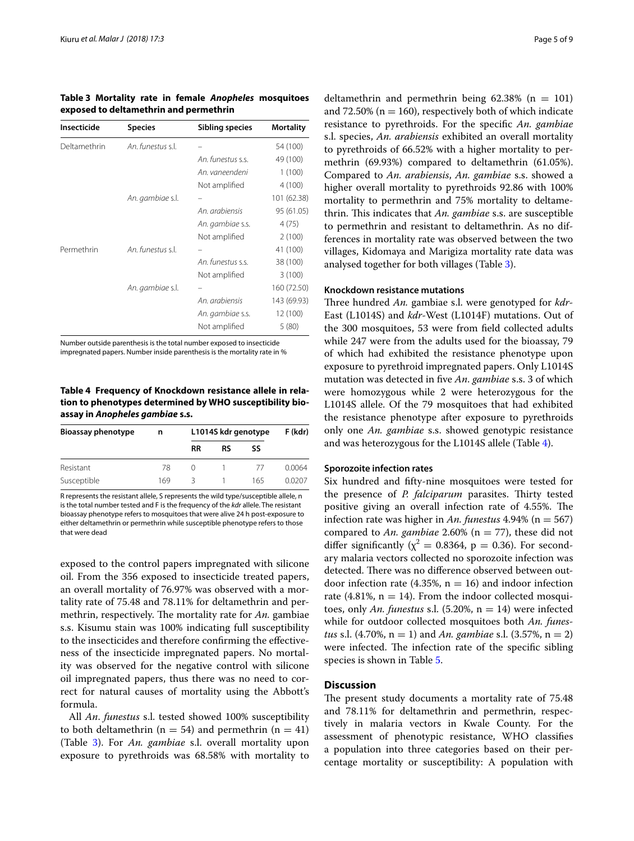<span id="page-4-0"></span>**Table 3 Mortality rate in female** *Anopheles* **mosquitoes exposed to deltamethrin and permethrin**

| Insecticide  | <b>Species</b>   | <b>Sibling species</b> | <b>Mortality</b> |
|--------------|------------------|------------------------|------------------|
| Deltamethrin | An funestus s.l. |                        | 54 (100)         |
|              |                  | An. funestus s.s.      | 49 (100)         |
|              |                  | An. vaneendeni         | 1(100)           |
|              |                  | Not amplified          | 4(100)           |
|              | An. gambiae s.l. |                        | 101 (62.38)      |
|              |                  | An. arabiensis         | 95 (61.05)       |
|              |                  | An. gambiae s.s.       | 4 (75)           |
|              |                  | Not amplified          | 2(100)           |
| Permethrin   | An funestus s.l. |                        | 41 (100)         |
|              |                  | An. funestus s.s.      | 38 (100)         |
|              |                  | Not amplified          | 3(100)           |
|              | An. gambiae s.l. |                        | 160 (72.50)      |
|              |                  | An. arabiensis         | 143 (69.93)      |
|              |                  | An. gambiae s.s.       | 12 (100)         |
|              |                  | Not amplified          | 5(80)            |

Number outside parenthesis is the total number exposed to insecticide impregnated papers. Number inside parenthesis is the mortality rate in %

<span id="page-4-1"></span>**Table 4 Frequency of Knockdown resistance allele in relation to phenotypes determined by WHO susceptibility bioassay in** *Anopheles gambiae* **s.s.**

| Bioassay phenotype | n   | L1014S kdr genotype |    |                | F (kdr) |
|--------------------|-----|---------------------|----|----------------|---------|
|                    |     | RR                  | RS | SS             |         |
| Resistant          | 78  | $\left( \right)$    |    | $\prime\prime$ | 0.0064  |
| Susceptible        | 169 | ર                   |    | 165            | 0.0207  |

R represents the resistant allele, S represents the wild type/susceptible allele, n is the total number tested and F is the frequency of the *kdr* allele. The resistant bioassay phenotype refers to mosquitoes that were alive 24 h post-exposure to either deltamethrin or permethrin while susceptible phenotype refers to those that were dead

exposed to the control papers impregnated with silicone oil. From the 356 exposed to insecticide treated papers, an overall mortality of 76.97% was observed with a mortality rate of 75.48 and 78.11% for deltamethrin and permethrin, respectively. The mortality rate for *An*. gambiae s.s. Kisumu stain was 100% indicating full susceptibility to the insecticides and therefore confrming the efectiveness of the insecticide impregnated papers. No mortality was observed for the negative control with silicone oil impregnated papers, thus there was no need to correct for natural causes of mortality using the Abbott's formula.

All *An*. *funestus* s.l. tested showed 100% susceptibility to both deltamethrin ( $n = 54$ ) and permethrin ( $n = 41$ ) (Table [3\)](#page-4-0). For *An. gambiae* s.l. overall mortality upon exposure to pyrethroids was 68.58% with mortality to deltamethrin and permethrin being  $62.38\%$  (n = 101) and 72.50% ( $n = 160$ ), respectively both of which indicate resistance to pyrethroids. For the specifc *An. gambiae* s.l. species, *An. arabiensis* exhibited an overall mortality to pyrethroids of 66.52% with a higher mortality to permethrin (69.93%) compared to deltamethrin (61.05%). Compared to *An. arabiensis*, *An. gambiae* s.s. showed a higher overall mortality to pyrethroids 92.86 with 100% mortality to permethrin and 75% mortality to deltamethrin. This indicates that *An. gambiae* s.s. are susceptible to permethrin and resistant to deltamethrin. As no differences in mortality rate was observed between the two villages, Kidomaya and Marigiza mortality rate data was analysed together for both villages (Table [3](#page-4-0)).

#### **Knockdown resistance mutations**

Three hundred *An.* gambiae s.l. were genotyped for *kdr*-East (L1014S) and *kdr*-West (L1014F) mutations. Out of the 300 mosquitoes, 53 were from feld collected adults while 247 were from the adults used for the bioassay, 79 of which had exhibited the resistance phenotype upon exposure to pyrethroid impregnated papers. Only L1014S mutation was detected in fve *An*. *gambiae* s.s. 3 of which were homozygous while 2 were heterozygous for the L1014S allele. Of the 79 mosquitoes that had exhibited the resistance phenotype after exposure to pyrethroids only one *An. gambiae* s.s. showed genotypic resistance and was heterozygous for the L1014S allele (Table [4\)](#page-4-1).

## **Sporozoite infection rates**

Six hundred and ffty-nine mosquitoes were tested for the presence of *P. falciparum* parasites. Thirty tested positive giving an overall infection rate of 4.55%. The infection rate was higher in *An. funestus* 4.94% (n = 567) compared to *An. gambiae* 2.60% (n = 77), these did not differ significantly ( $\chi^2$  = 0.8364, p = 0.36). For secondary malaria vectors collected no sporozoite infection was detected. There was no difference observed between outdoor infection rate (4.35%,  $n = 16$ ) and indoor infection rate (4.81%,  $n = 14$ ). From the indoor collected mosquitoes, only *An. funestus* s.l. (5.20%, n = 14) were infected while for outdoor collected mosquitoes both *An. funestus* s.l. (4.70%,  $n = 1$ ) and *An. gambiae* s.l. (3.57%,  $n = 2$ ) were infected. The infection rate of the specific sibling species is shown in Table [5.](#page-5-0)

## **Discussion**

The present study documents a mortality rate of 75.48 and 78.11% for deltamethrin and permethrin, respectively in malaria vectors in Kwale County. For the assessment of phenotypic resistance, WHO classifes a population into three categories based on their percentage mortality or susceptibility: A population with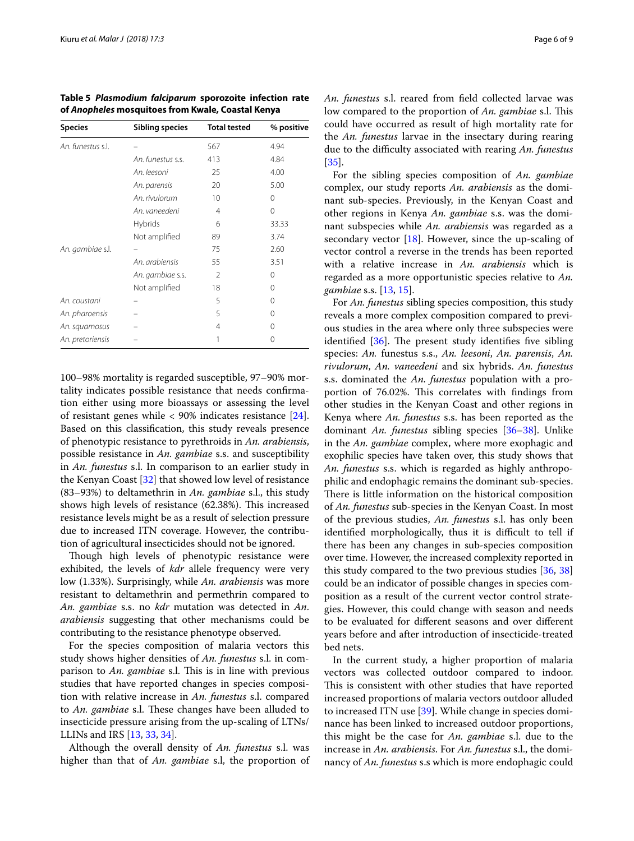<span id="page-5-0"></span>**Table 5** *Plasmodium falciparum* **sporozoite infection rate of** *Anopheles* **mosquitoes from Kwale, Coastal Kenya**

| <b>Species</b>    | <b>Sibling species</b> | <b>Total tested</b> | % positive |
|-------------------|------------------------|---------------------|------------|
| An. funestus s.l. |                        | 567                 | 4.94       |
|                   | An. funestus s.s.      | 413                 | 4.84       |
|                   | An. leesoni            | 25                  | 4.00       |
|                   | An. parensis           | 20                  | 5.00       |
|                   | An. rivulorum          | 10                  | 0          |
|                   | An vaneedeni           | $\overline{4}$      | $\Omega$   |
|                   | <b>Hybrids</b>         | 6                   | 33.33      |
|                   | Not amplified          | 89                  | 3.74       |
| An. gambiae s.l.  |                        | 75                  | 2.60       |
|                   | An. arabiensis         | 55                  | 3.51       |
|                   | An. gambiae s.s.       | $\mathfrak{D}$      | $\Omega$   |
|                   | Not amplified          | 18                  | $\Omega$   |
| An. coustani      |                        | 5                   | 0          |
| An. pharoensis    |                        | 5                   | $\Omega$   |
| An. squamosus     |                        | $\overline{4}$      | 0          |
| An. pretoriensis  |                        | 1                   | 0          |

100–98% mortality is regarded susceptible, 97–90% mortality indicates possible resistance that needs confrmation either using more bioassays or assessing the level of resistant genes while  $\langle 90\% \rangle$  indicates resistance [\[24](#page-7-22)]. Based on this classifcation, this study reveals presence of phenotypic resistance to pyrethroids in *An. arabiensis*, possible resistance in *An. gambiae* s.s. and susceptibility in *An. funestus* s.l. In comparison to an earlier study in the Kenyan Coast [\[32](#page-7-30)] that showed low level of resistance (83–93%) to deltamethrin in *An. gambiae* s.l., this study shows high levels of resistance (62.38%). This increased resistance levels might be as a result of selection pressure due to increased ITN coverage. However, the contribution of agricultural insecticides should not be ignored.

Though high levels of phenotypic resistance were exhibited, the levels of *kdr* allele frequency were very low (1.33%). Surprisingly, while *An. arabiensis* was more resistant to deltamethrin and permethrin compared to *An. gambiae* s.s. no *kdr* mutation was detected in *An*. *arabiensis* suggesting that other mechanisms could be contributing to the resistance phenotype observed.

For the species composition of malaria vectors this study shows higher densities of *An. funestus* s.l. in comparison to *An. gambiae* s.l. This is in line with previous studies that have reported changes in species composition with relative increase in *An. funestus* s.l. compared to *An. gambiae* s.l. These changes have been alluded to insecticide pressure arising from the up-scaling of LTNs/ LLINs and IRS [\[13](#page-7-11), [33,](#page-7-31) [34\]](#page-7-32).

Although the overall density of *An. funestus* s.l. was higher than that of *An. gambiae* s.l, the proportion of *An. funestus* s.l. reared from feld collected larvae was low compared to the proportion of *An. gambiae* s.l. This could have occurred as result of high mortality rate for the *An. funestus* larvae in the insectary during rearing due to the difculty associated with rearing *An. funestus* [[35\]](#page-7-33).

For the sibling species composition of *An. gambiae* complex, our study reports *An. arabiensis* as the dominant sub-species. Previously, in the Kenyan Coast and other regions in Kenya *An. gambiae* s.s. was the dominant subspecies while *An. arabiensis* was regarded as a secondary vector [[18](#page-7-16)]. However, since the up-scaling of vector control a reverse in the trends has been reported with a relative increase in *An. arabiensis* which is regarded as a more opportunistic species relative to *An. gambiae* s.s. [[13,](#page-7-11) [15\]](#page-7-13).

For *An. funestus* sibling species composition, this study reveals a more complex composition compared to previous studies in the area where only three subspecies were identified  $[36]$ . The present study identifies five sibling species: *An.* funestus s.s., *An. leesoni*, *An. parensis*, *An. rivulorum*, *An. vaneedeni* and six hybrids. *An. funestus* s.s. dominated the *An. funestus* population with a proportion of 76.02%. This correlates with findings from other studies in the Kenyan Coast and other regions in Kenya where *An. funestus* s.s. has been reported as the dominant *An. funestus* sibling species [[36](#page-7-34)[–38](#page-7-35)]. Unlike in the *An. gambiae* complex, where more exophagic and exophilic species have taken over, this study shows that *An. funestus* s.s. which is regarded as highly anthropophilic and endophagic remains the dominant sub-species. There is little information on the historical composition of *An. funestus* sub-species in the Kenyan Coast. In most of the previous studies, *An. funestus* s.l. has only been identified morphologically, thus it is difficult to tell if there has been any changes in sub-species composition over time. However, the increased complexity reported in this study compared to the two previous studies [\[36](#page-7-34), [38](#page-7-35)] could be an indicator of possible changes in species composition as a result of the current vector control strategies. However, this could change with season and needs to be evaluated for diferent seasons and over diferent years before and after introduction of insecticide-treated bed nets.

In the current study, a higher proportion of malaria vectors was collected outdoor compared to indoor. This is consistent with other studies that have reported increased proportions of malaria vectors outdoor alluded to increased ITN use [[39\]](#page-7-36). While change in species dominance has been linked to increased outdoor proportions, this might be the case for *An. gambiae* s.l. due to the increase in *An. arabiensis*. For *An. funestus* s.l., the dominancy of *An. funestus* s.s which is more endophagic could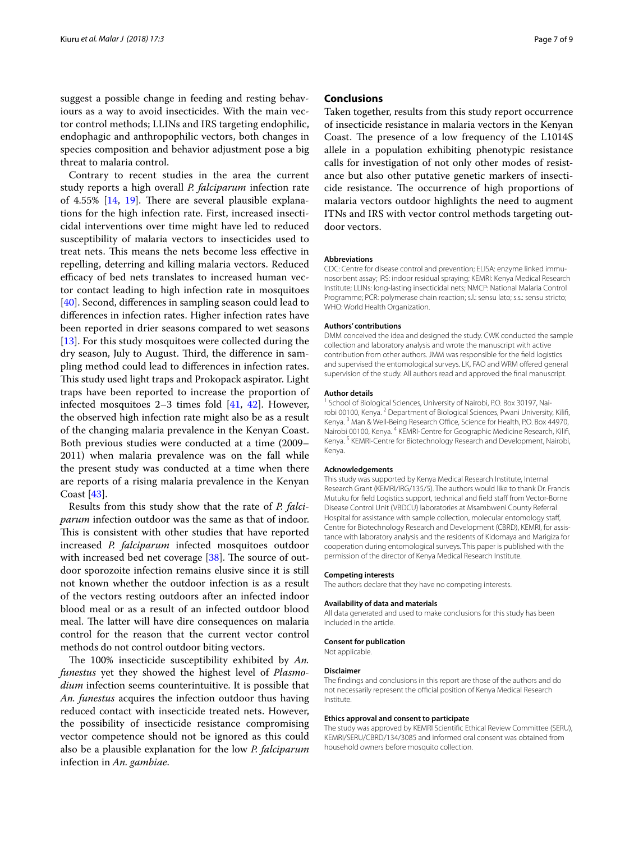suggest a possible change in feeding and resting behaviours as a way to avoid insecticides. With the main vector control methods; LLINs and IRS targeting endophilic, endophagic and anthropophilic vectors, both changes in species composition and behavior adjustment pose a big threat to malaria control.

Contrary to recent studies in the area the current study reports a high overall *P. falciparum* infection rate of 4.55%  $[14, 19]$  $[14, 19]$  $[14, 19]$  $[14, 19]$  $[14, 19]$ . There are several plausible explanations for the high infection rate. First, increased insecticidal interventions over time might have led to reduced susceptibility of malaria vectors to insecticides used to treat nets. This means the nets become less effective in repelling, deterring and killing malaria vectors. Reduced efficacy of bed nets translates to increased human vector contact leading to high infection rate in mosquitoes [[40\]](#page-7-37). Second, diferences in sampling season could lead to diferences in infection rates. Higher infection rates have been reported in drier seasons compared to wet seasons [[13\]](#page-7-11). For this study mosquitoes were collected during the dry season, July to August. Third, the difference in sampling method could lead to diferences in infection rates. This study used light traps and Prokopack aspirator. Light traps have been reported to increase the proportion of infected mosquitoes 2–3 times fold [\[41,](#page-8-0) [42](#page-8-1)]. However, the observed high infection rate might also be as a result of the changing malaria prevalence in the Kenyan Coast. Both previous studies were conducted at a time (2009– 2011) when malaria prevalence was on the fall while the present study was conducted at a time when there are reports of a rising malaria prevalence in the Kenyan Coast [[43\]](#page-8-2).

Results from this study show that the rate of *P. falciparum* infection outdoor was the same as that of indoor. This is consistent with other studies that have reported increased *P. falciparum* infected mosquitoes outdoor with increased bed net coverage  $[38]$  $[38]$ . The source of outdoor sporozoite infection remains elusive since it is still not known whether the outdoor infection is as a result of the vectors resting outdoors after an infected indoor blood meal or as a result of an infected outdoor blood meal. The latter will have dire consequences on malaria control for the reason that the current vector control methods do not control outdoor biting vectors.

The 100% insecticide susceptibility exhibited by *An*. *funestus* yet they showed the highest level of *Plasmodium* infection seems counterintuitive. It is possible that *An. funestus* acquires the infection outdoor thus having reduced contact with insecticide treated nets. However, the possibility of insecticide resistance compromising vector competence should not be ignored as this could also be a plausible explanation for the low *P. falciparum* infection in *An. gambiae*.

### **Conclusions**

Taken together, results from this study report occurrence of insecticide resistance in malaria vectors in the Kenyan Coast. The presence of a low frequency of the L1014S allele in a population exhibiting phenotypic resistance calls for investigation of not only other modes of resistance but also other putative genetic markers of insecticide resistance. The occurrence of high proportions of malaria vectors outdoor highlights the need to augment ITNs and IRS with vector control methods targeting outdoor vectors.

#### **Abbreviations**

CDC: Centre for disease control and prevention; ELISA: enzyme linked immunosorbent assay; IRS: indoor residual spraying; KEMRI: Kenya Medical Research Institute; LLINs: long-lasting insecticidal nets; NMCP: National Malaria Control Programme; PCR: polymerase chain reaction; s.l.: sensu lato; s.s.: sensu stricto; WHO: World Health Organization.

#### **Authors' contributions**

DMM conceived the idea and designed the study. CWK conducted the sample collection and laboratory analysis and wrote the manuscript with active contribution from other authors. JMM was responsible for the feld logistics and supervised the entomological surveys. LK, FAO and WRM ofered general supervision of the study. All authors read and approved the fnal manuscript.

#### **Author details**

<sup>1</sup> School of Biological Sciences, University of Nairobi, P.O. Box 30197, Nairobi 00100, Kenya. <sup>2</sup> Department of Biological Sciences, Pwani University, Kilifi, Kenya.<sup>3</sup> Man & Well-Being Research Office, Science for Health, P.O. Box 44970, Nairobi 00100, Kenya. <sup>4</sup> KEMRI-Centre for Geographic Medicine Research, Kilifi, Kenya.<sup>5</sup> KEMRI-Centre for Biotechnology Research and Development, Nairobi, Kenya.

#### **Acknowledgements**

This study was supported by Kenya Medical Research Institute, Internal Research Grant (KEMRI/IRG/135/5). The authors would like to thank Dr. Francis Mutuku for field Logistics support, technical and field staff from Vector-Borne Disease Control Unit (VBDCU) laboratories at Msambweni County Referral Hospital for assistance with sample collection, molecular entomology staf, Centre for Biotechnology Research and Development (CBRD), KEMRI, for assistance with laboratory analysis and the residents of Kidomaya and Marigiza for cooperation during entomological surveys. This paper is published with the permission of the director of Kenya Medical Research Institute.

#### **Competing interests**

The authors declare that they have no competing interests.

#### **Availability of data and materials**

All data generated and used to make conclusions for this study has been included in the article.

#### **Consent for publication**

Not applicable.

#### **Disclaimer**

The fndings and conclusions in this report are those of the authors and do not necessarily represent the official position of Kenya Medical Research Institute.

#### **Ethics approval and consent to participate**

The study was approved by KEMRI Scientifc Ethical Review Committee (SERU), KEMRI/SERU/CBRD/134/3085 and informed oral consent was obtained from household owners before mosquito collection.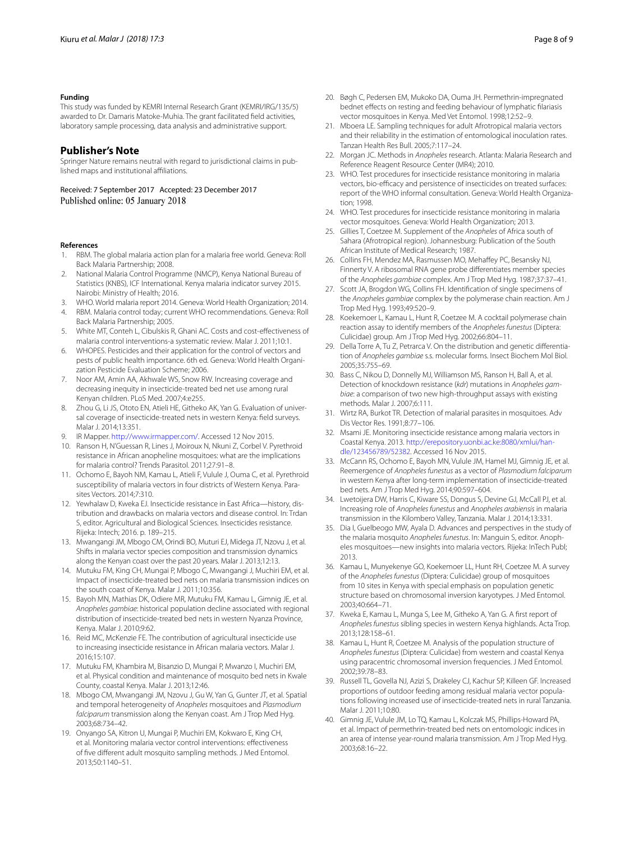#### **Funding**

This study was funded by KEMRI Internal Research Grant (KEMRI/IRG/135/5) awarded to Dr. Damaris Matoke-Muhia. The grant facilitated feld activities, laboratory sample processing, data analysis and administrative support.

## **Publisher's Note**

Springer Nature remains neutral with regard to jurisdictional claims in published maps and institutional afliations.

Received: 7 September 2017 Accepted: 23 December 2017 Published online: 05 January 2018

#### **References**

- <span id="page-7-0"></span>1. RBM. The global malaria action plan for a malaria free world. Geneva: Roll Back Malaria Partnership; 2008.
- <span id="page-7-1"></span>2. National Malaria Control Programme (NMCP), Kenya National Bureau of Statistics (KNBS), ICF International. Kenya malaria indicator survey 2015. Nairobi: Ministry of Health; 2016.
- <span id="page-7-2"></span>3. WHO. World malaria report 2014. Geneva: World Health Organization; 2014.
- <span id="page-7-3"></span>4. RBM. Malaria control today; current WHO recommendations. Geneva: Roll Back Malaria Partnership; 2005.
- <span id="page-7-4"></span>5. White MT, Conteh L, Cibulskis R, Ghani AC. Costs and cost-efectiveness of malaria control interventions-a systematic review. Malar J. 2011;10:1.
- <span id="page-7-5"></span>6. WHOPES. Pesticides and their application for the control of vectors and pests of public health importance. 6th ed. Geneva: World Health Organization Pesticide Evaluation Scheme; 2006.
- <span id="page-7-6"></span>7. Noor AM, Amin AA, Akhwale WS, Snow RW. Increasing coverage and decreasing inequity in insecticide-treated bed net use among rural Kenyan children. PLoS Med. 2007;4:e255.
- <span id="page-7-7"></span>8. Zhou G, Li JS, Ototo EN, Atieli HE, Githeko AK, Yan G. Evaluation of universal coverage of insecticide-treated nets in western Kenya: feld surveys. Malar | 2014:13:351
- <span id="page-7-8"></span>9. IR Mapper. <http://www.irmapper.com/>. Accessed 12 Nov 2015.
- <span id="page-7-9"></span>10. Ranson H, N'Guessan R, Lines J, Moiroux N, Nkuni Z, Corbel V. Pyrethroid resistance in African anopheline mosquitoes: what are the implications for malaria control? Trends Parasitol. 2011;27:91–8.
- 11. Ochomo E, Bayoh NM, Kamau L, Atieli F, Vulule J, Ouma C, et al. Pyrethroid susceptibility of malaria vectors in four districts of Western Kenya. Parasites Vectors. 2014;7:310.
- <span id="page-7-10"></span>12. Yewhalaw D, Kweka EJ. Insecticide resistance in East Africa-history, distribution and drawbacks on malaria vectors and disease control. In: Trdan S, editor. Agricultural and Biological Sciences. Insecticides resistance. Rijeka: Intech; 2016. p. 189–215.
- <span id="page-7-11"></span>13. Mwangangi JM, Mbogo CM, Orindi BO, Muturi EJ, Midega JT, Nzovu J, et al. Shifts in malaria vector species composition and transmission dynamics along the Kenyan coast over the past 20 years. Malar J. 2013;12:13.
- <span id="page-7-12"></span>14. Mutuku FM, King CH, Mungai P, Mbogo C, Mwangangi J, Muchiri EM, et al. Impact of insecticide-treated bed nets on malaria transmission indices on the south coast of Kenya. Malar J. 2011;10:356.
- <span id="page-7-13"></span>15. Bayoh MN, Mathias DK, Odiere MR, Mutuku FM, Kamau L, Gimnig JE, et al. *Anopheles gambiae*: historical population decline associated with regional distribution of insecticide-treated bed nets in western Nyanza Province, Kenya. Malar J. 2010;9:62.
- <span id="page-7-14"></span>16. Reid MC, McKenzie FE. The contribution of agricultural insecticide use to increasing insecticide resistance in African malaria vectors. Malar J. 2016;15:107.
- <span id="page-7-15"></span>17. Mutuku FM, Khambira M, Bisanzio D, Mungai P, Mwanzo I, Muchiri EM, et al. Physical condition and maintenance of mosquito bed nets in Kwale County, coastal Kenya. Malar J. 2013;12:46.
- <span id="page-7-16"></span>18. Mbogo CM, Mwangangi JM, Nzovu J, Gu W, Yan G, Gunter JT, et al. Spatial and temporal heterogeneity of *Anopheles* mosquitoes and *Plasmodium falciparum* transmission along the Kenyan coast. Am J Trop Med Hyg. 2003;68:734–42.
- <span id="page-7-17"></span>19. Onyango SA, Kitron U, Mungai P, Muchiri EM, Kokwaro E, King CH, et al. Monitoring malaria vector control interventions: efectiveness of fve diferent adult mosquito sampling methods. J Med Entomol. 2013;50:1140–51.
- <span id="page-7-18"></span>20. Bøgh C, Pedersen EM, Mukoko DA, Ouma JH. Permethrin-impregnated bednet efects on resting and feeding behaviour of lymphatic flariasis vector mosquitoes in Kenya. Med Vet Entomol. 1998;12:52–9.
- <span id="page-7-19"></span>21. Mboera LE. Sampling techniques for adult Afrotropical malaria vectors and their reliability in the estimation of entomological inoculation rates. Tanzan Health Res Bull. 2005;7:117–24.
- <span id="page-7-20"></span>22. Morgan JC. Methods in *Anopheles* research. Atlanta: Malaria Research and Reference Reagent Resource Center (MR4); 2010.
- <span id="page-7-21"></span>23. WHO. Test procedures for insecticide resistance monitoring in malaria vectors, bio-efficacy and persistence of insecticides on treated surfaces: report of the WHO informal consultation. Geneva: World Health Organization; 1998.
- <span id="page-7-22"></span>24. WHO. Test procedures for insecticide resistance monitoring in malaria vector mosquitoes. Geneva: World Health Organization; 2013.
- <span id="page-7-23"></span>25. Gillies T, Coetzee M. Supplement of the *Anopheles* of Africa south of Sahara (Afrotropical region). Johannesburg: Publication of the South African Institute of Medical Research; 1987.
- <span id="page-7-24"></span>26. Collins FH, Mendez MA, Rasmussen MO, Mehaffey PC, Besansky NJ, Finnerty V. A ribosomal RNA gene probe diferentiates member species of the *Anopheles gambiae* complex. Am J Trop Med Hyg. 1987;37:37–41.
- <span id="page-7-25"></span>27. Scott JA, Brogdon WG, Collins FH. Identifcation of single specimens of the *Anopheles gambiae* complex by the polymerase chain reaction. Am J Trop Med Hyg. 1993;49:520–9.
- <span id="page-7-26"></span>28. Koekemoer L, Kamau L, Hunt R, Coetzee M. A cocktail polymerase chain reaction assay to identify members of the *Anopheles funestus* (Diptera: Culicidae) group. Am J Trop Med Hyg. 2002;66:804–11.
- <span id="page-7-27"></span>29. Della Torre A, Tu Z, Petrarca V. On the distribution and genetic differentiation of *Anopheles gambiae* s.s. molecular forms. Insect Biochem Mol Biol. 2005;35:755–69.
- <span id="page-7-28"></span>30. Bass C, Nikou D, Donnelly MJ, Williamson MS, Ranson H, Ball A, et al. Detection of knockdown resistance (*kdr*) mutations in *Anopheles gambiae*: a comparison of two new high-throughput assays with existing methods. Malar J. 2007;6:111.
- <span id="page-7-29"></span>31. Wirtz RA, Burkot TR. Detection of malarial parasites in mosquitoes. Adv Dis Vector Res. 1991;8:77–106.
- <span id="page-7-30"></span>32. Msami JE. Monitoring insecticide resistance among malaria vectors in Coastal Kenya. 2013. [http://erepository.uonbi.ac.ke:8080/xmlui/han‑](http://erepository.uonbi.ac.ke:8080/xmlui/handle/123456789/52382) [dle/123456789/52382.](http://erepository.uonbi.ac.ke:8080/xmlui/handle/123456789/52382) Accessed 16 Nov 2015.
- <span id="page-7-31"></span>33. McCann RS, Ochomo E, Bayoh MN, Vulule JM, Hamel MJ, Gimnig JE, et al. Reemergence of *Anopheles funestus* as a vector of *Plasmodium falciparum* in western Kenya after long-term implementation of insecticide-treated bed nets. Am J Trop Med Hyg. 2014;90:597–604.
- <span id="page-7-32"></span>34. Lwetoijera DW, Harris C, Kiware SS, Dongus S, Devine GJ, McCall PJ, et al. Increasing role of *Anopheles funestus* and *Anopheles arabiensis* in malaria transmission in the Kilombero Valley, Tanzania. Malar J. 2014;13:331.
- <span id="page-7-33"></span>35. Dia I, Guelbeogo MW, Ayala D. Advances and perspectives in the study of the malaria mosquito *Anopheles funestus*. In: Manguin S, editor. Anoph‑ eles mosquitoes—new insights into malaria vectors. Rijeka: InTech Publ; 2013.
- <span id="page-7-34"></span>36. Kamau L, Munyekenye GO, Koekemoer LL, Hunt RH, Coetzee M. A survey of the *Anopheles funestus* (Diptera: Culicidae) group of mosquitoes from 10 sites in Kenya with special emphasis on population genetic structure based on chromosomal inversion karyotypes. J Med Entomol. 2003;40:664–71.
- 37. Kweka E, Kamau L, Munga S, Lee M, Githeko A, Yan G. A frst report of *Anopheles funestus* sibling species in western Kenya highlands. Acta Trop. 2013;128:158–61.
- <span id="page-7-35"></span>38. Kamau L, Hunt R, Coetzee M. Analysis of the population structure of *Anopheles funestus* (Diptera: Culicidae) from western and coastal Kenya using paracentric chromosomal inversion frequencies. J Med Entomol. 2002;39:78–83.
- <span id="page-7-36"></span>39. Russell TL, Govella NJ, Azizi S, Drakeley CJ, Kachur SP, Killeen GF. Increased proportions of outdoor feeding among residual malaria vector populations following increased use of insecticide-treated nets in rural Tanzania. Malar J. 2011;10:80.
- <span id="page-7-37"></span>40. Gimnig JE, Vulule JM, Lo TQ, Kamau L, Kolczak MS, Phillips-Howard PA, et al. Impact of permethrin-treated bed nets on entomologic indices in an area of intense year-round malaria transmission. Am J Trop Med Hyg. 2003;68:16–22.